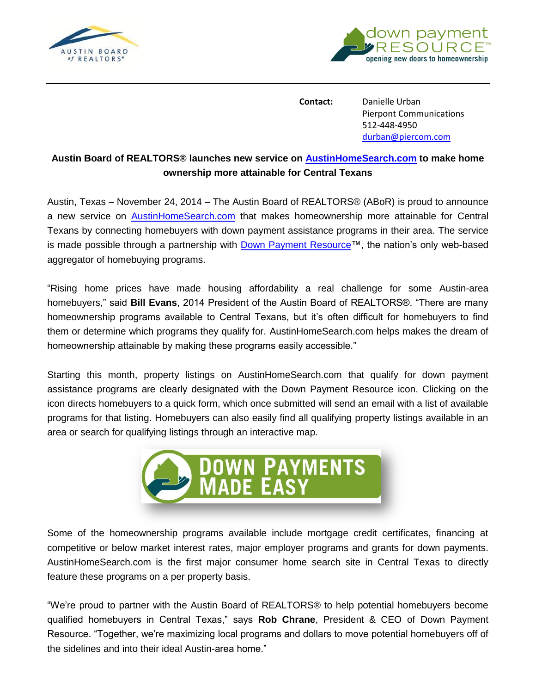



**Contact:** Danielle Urban Pierpont Communications 512-448-4950 durban@piercom.com

## **Austin Board of REALTORS® launches new service on [AustinHomeSearch.com](http://www.austinhomesearch.com/) to make home ownership more attainable for Central Texans**

Austin, Texas – November 24, 2014 – The Austin Board of REALTORS® (ABoR) is proud to announce a new service on **[AustinHomeSearch.com](http://www.austinhomesearch.com/)** that makes homeownership more attainable for Central Texans by connecting homebuyers with down payment assistance programs in their area. The service is made possible through a partnership with [Down Payment Resource™](http://www.downpaymentresource.com/), the nation's only web-based aggregator of homebuying programs.

"Rising home prices have made housing affordability a real challenge for some Austin-area homebuyers," said **Bill Evans**, 2014 President of the Austin Board of REALTORS®. "There are many homeownership programs available to Central Texans, but it's often difficult for homebuyers to find them or determine which programs they qualify for. AustinHomeSearch.com helps makes the dream of homeownership attainable by making these programs easily accessible."

Starting this month, property listings on AustinHomeSearch.com that qualify for down payment assistance programs are clearly designated with the Down Payment Resource icon. Clicking on the icon directs homebuyers to a quick form, which once submitted will send an email with a list of available programs for that listing. Homebuyers can also easily find all qualifying property listings available in an area or search for qualifying listings through an interactive map.



Some of the homeownership programs available include mortgage credit certificates, financing at competitive or below market interest rates, major employer programs and grants for down payments. AustinHomeSearch.com is the first major consumer home search site in Central Texas to directly feature these programs on a per property basis.

"We're proud to partner with the Austin Board of REALTORS® to help potential homebuyers become qualified homebuyers in Central Texas," says **Rob Chrane**, President & CEO of Down Payment Resource. "Together, we're maximizing local programs and dollars to move potential homebuyers off of the sidelines and into their ideal Austin-area home."